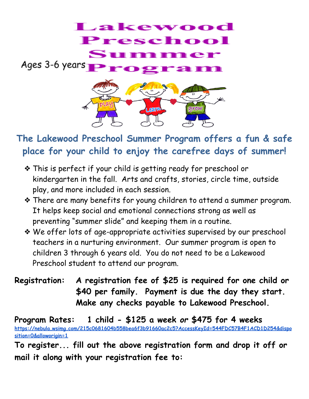

## **The Lakewood Preschool Summer Program offers a fun & safe place for your child to enjoy the carefree days of summer!**

- ❖ This is perfect if your child is getting ready for preschool or kindergarten in the fall. Arts and crafts, stories, circle time, outside play, and more included in each session.
- ❖ There are many benefits for young children to attend a summer program. It helps keep social and emotional connections strong as well as preventing "summer slide" and keeping them in a routine.
- ❖ We offer lots of age-appropriate activities supervised by our preschool teachers in a nurturing environment. Our summer program is open to children 3 through 6 years old. You do not need to be a Lakewood Preschool student to attend our program.
- **Registration: A registration fee of \$25 is required for one child or \$40 per family. Payment is due the day they start. Make any checks payable to Lakewood Preschool.**

**Program Rates: 1 child - \$125 a week** *or* **\$475 for 4 weeks [https://nebula.wsimg.com/215c0681604b558bea6f3b91660ac2c5?AccessKeyId=544FDC57B4F1ACD1D254&dispo](https://nebula.wsimg.com/215c0681604b558bea6f3b91660ac2c5?AccessKeyId=544FDC57B4F1ACD1D254&disposition=0&alloworigin=1) [sition=0&alloworigin=1](https://nebula.wsimg.com/215c0681604b558bea6f3b91660ac2c5?AccessKeyId=544FDC57B4F1ACD1D254&disposition=0&alloworigin=1)**

**To register... fill out the above registration form and drop it off or mail it along with your registration fee to:**